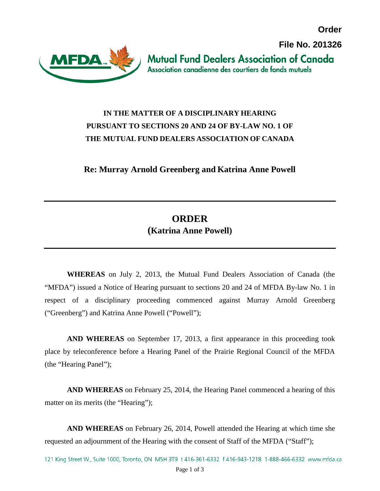**Order**

**File No. 201326**



**Mutual Fund Dealers Association of Canada** Association canadienne des courtiers de fonds mutuels

## **IN THE MATTER OF A DISCIPLINARY HEARING PURSUANT TO SECTIONS 20 AND 24 OF BY-LAW NO. 1 OF THE MUTUAL FUND DEALERS ASSOCIATION OF CANADA**

**Re: Murray Arnold Greenberg and Katrina Anne Powell**

## **ORDER (Katrina Anne Powell)**

**WHEREAS** on July 2, 2013, the Mutual Fund Dealers Association of Canada (the "MFDA") issued a Notice of Hearing pursuant to sections 20 and 24 of MFDA By-law No. 1 in respect of a disciplinary proceeding commenced against Murray Arnold Greenberg ("Greenberg") and Katrina Anne Powell ("Powell");

**AND WHEREAS** on September 17, 2013, a first appearance in this proceeding took place by teleconference before a Hearing Panel of the Prairie Regional Council of the MFDA (the "Hearing Panel");

**AND WHEREAS** on February 25, 2014, the Hearing Panel commenced a hearing of this matter on its merits (the "Hearing");

**AND WHEREAS** on February 26, 2014, Powell attended the Hearing at which time she requested an adjournment of the Hearing with the consent of Staff of the MFDA ("Staff");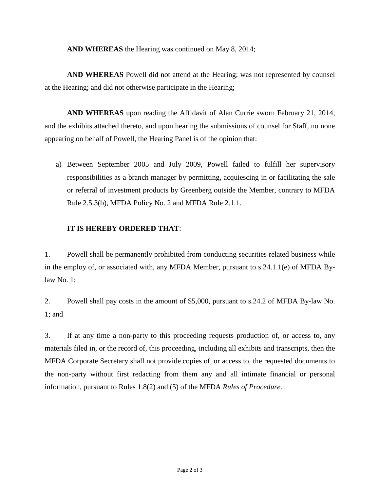**AND WHEREAS** the Hearing was continued on May 8, 2014;

**AND WHEREAS** Powell did not attend at the Hearing; was not represented by counsel at the Hearing; and did not otherwise participate in the Hearing;

**AND WHEREAS** upon reading the Affidavit of Alan Currie sworn February 21, 2014, and the exhibits attached thereto, and upon hearing the submissions of counsel for Staff, no none appearing on behalf of Powell, the Hearing Panel is of the opinion that:

a) Between September 2005 and July 2009, Powell failed to fulfill her supervisory responsibilities as a branch manager by permitting, acquiescing in or facilitating the sale or referral of investment products by Greenberg outside the Member, contrary to MFDA Rule 2.5.3(b), MFDA Policy No. 2 and MFDA Rule 2.1.1.

## **IT IS HEREBY ORDERED THAT**:

1. Powell shall be permanently prohibited from conducting securities related business while in the employ of, or associated with, any MFDA Member, pursuant to s.24.1.1(e) of MFDA Bylaw No. 1;

2. Powell shall pay costs in the amount of \$5,000, pursuant to s.24.2 of MFDA By-law No. 1; and

3. If at any time a non-party to this proceeding requests production of, or access to, any materials filed in, or the record of, this proceeding, including all exhibits and transcripts, then the MFDA Corporate Secretary shall not provide copies of, or access to, the requested documents to the non-party without first redacting from them any and all intimate financial or personal information, pursuant to Rules 1.8(2) and (5) of the MFDA *Rules of Procedure*.